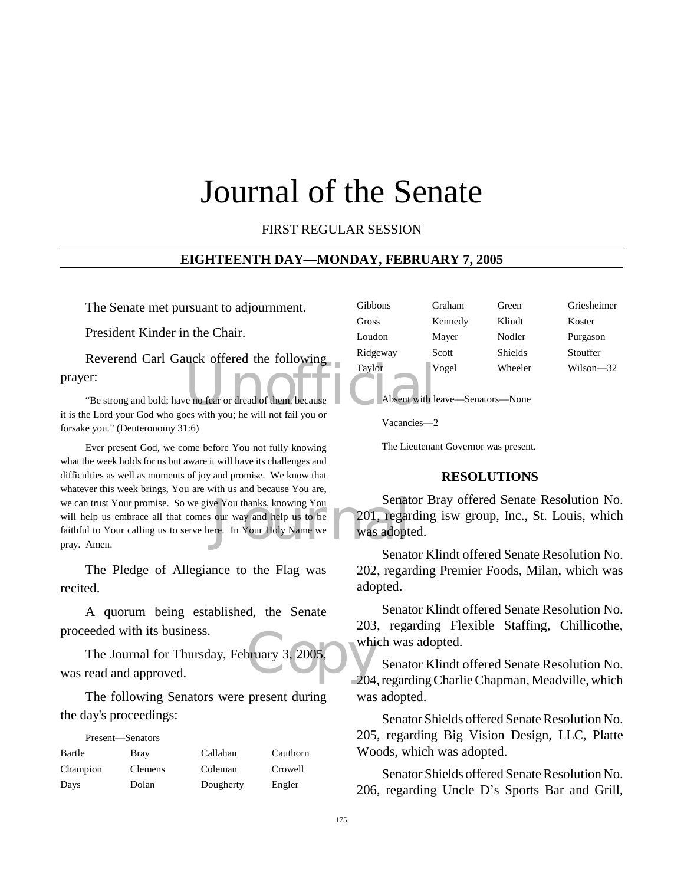# Journal of the Senate

FIRST REGULAR SESSION

#### **EIGHTEENTH DAY—MONDAY, FEBRUARY 7, 2005**

The Senate met pursuant to adjournment.

President Kinder in the Chair.

Taylor<br>
Taylor<br>
Taylor<br>
Ne no fear or dread of them, because Reverend Carl Gauck offered the following prayer:

"Be strong and bold; have no fear or dread of them, because it is the Lord your God who goes with you; he will not fail you or forsake you." (Deuteronomy 31:6)

Ve You thanks, knowing You<br>
our way and help us to be<br>
The Manne we Was adopted<br>
Supply Name we Was adopted<br>
Name we Was adopted<br>
Name we Was adopted<br>
Name we Was adopted<br>
Name we Was adopted<br>
Name we Was adopted<br>
Name we Ever present God, we come before You not fully knowing what the week holds for us but aware it will have its challenges and difficulties as well as moments of joy and promise. We know that whatever this week brings, You are with us and because You are, we can trust Your promise. So we give You thanks, knowing You will help us embrace all that comes our way and help us to be faithful to Your calling us to serve here. In Your Holy Name we pray. Amen.

The Pledge of Allegiance to the Flag was recited.

A quorum being established, the Senate proceeded with its business.

pruary 3, 2005. The Journal for Thursday, February 3, 2005, was read and approved.

The following Senators were present during the day's proceedings:

#### Present—Senators

| Bartle   | Bray           | Callahan  | Cauthorn |
|----------|----------------|-----------|----------|
| Champion | <b>Clemens</b> | Coleman   | Crowell  |
| Days     | Dolan          | Dougherty | Engler   |

| Gibbons  | Graham  | Green          | Griesheimer |
|----------|---------|----------------|-------------|
| Gross    | Kennedy | Klindt         | Koster      |
| Loudon   | Mayer   | Nodler         | Purgason    |
| Ridgeway | Scott   | <b>Shields</b> | Stouffer    |
| Taylor   | Vogel   | Wheeler        | Wilson—32   |
|          |         |                |             |

Absent with leave—Senators—None

Vacancies—2

The Lieutenant Governor was present.

#### **RESOLUTIONS**

Senator Bray offered Senate Resolution No. 201, regarding isw group, Inc., St. Louis, which was adopted.

Senator Klindt offered Senate Resolution No. 202, regarding Premier Foods, Milan, which was adopted.

Senator Klindt offered Senate Resolution No. 203, regarding Flexible Staffing, Chillicothe, which was adopted.

Senator Klindt offered Senate Resolution No. 204, regarding Charlie Chapman, Meadville, which was adopted.

Senator Shields offered Senate Resolution No. 205, regarding Big Vision Design, LLC, Platte Woods, which was adopted.

Senator Shields offered Senate Resolution No. 206, regarding Uncle D's Sports Bar and Grill,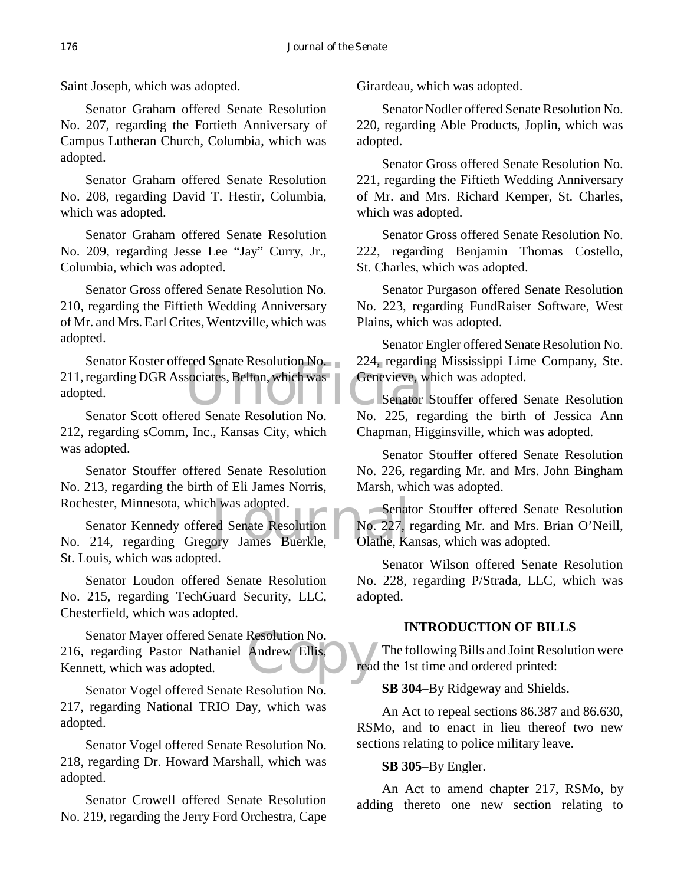Saint Joseph, which was adopted.

Senator Graham offered Senate Resolution No. 207, regarding the Fortieth Anniversary of Campus Lutheran Church, Columbia, which was adopted.

Senator Graham offered Senate Resolution No. 208, regarding David T. Hestir, Columbia, which was adopted.

Senator Graham offered Senate Resolution No. 209, regarding Jesse Lee "Jay" Curry, Jr., Columbia, which was adopted.

Senator Gross offered Senate Resolution No. 210, regarding the Fiftieth Wedding Anniversary of Mr. and Mrs. Earl Crites, Wentzville, which was adopted.

Ered Senate Resolution No.<br>Sociates, Belton, which was<br>Senator States Resolution No. No. 225, room Senator Koster offered Senate Resolution No. 211, regarding DGR Associates, Belton, which was adopted.

Senator Scott offered Senate Resolution No. 212, regarding sComm, Inc., Kansas City, which was adopted.

Senator Stouffer offered Senate Resolution No. 213, regarding the birth of Eli James Norris, Rochester, Minnesota, which was adopted.

h was adopted.<br>
Example 18 Senate Resolution<br>
Diathe, Kaptara Buerkle, Clathe, Ka Senator Kennedy offered Senate Resolution No. 214, regarding Gregory James Buerkle, St. Louis, which was adopted.

Senator Loudon offered Senate Resolution No. 215, regarding TechGuard Security, LLC, Chesterfield, which was adopted.

Resolution No. Senator Mayer offered Senate Resolution No. 216, regarding Pastor Nathaniel Andrew Ellis, Kennett, which was adopted.

Senator Vogel offered Senate Resolution No. 217, regarding National TRIO Day, which was adopted.

Senator Vogel offered Senate Resolution No. 218, regarding Dr. Howard Marshall, which was adopted.

Senator Crowell offered Senate Resolution No. 219, regarding the Jerry Ford Orchestra, Cape Girardeau, which was adopted.

Senator Nodler offered Senate Resolution No. 220, regarding Able Products, Joplin, which was adopted.

Senator Gross offered Senate Resolution No. 221, regarding the Fiftieth Wedding Anniversary of Mr. and Mrs. Richard Kemper, St. Charles, which was adopted.

Senator Gross offered Senate Resolution No. 222, regarding Benjamin Thomas Costello, St. Charles, which was adopted.

Senator Purgason offered Senate Resolution No. 223, regarding FundRaiser Software, West Plains, which was adopted.

Senator Engler offered Senate Resolution No. 224, regarding Mississippi Lime Company, Ste. Genevieve, which was adopted.

Senator Stouffer offered Senate Resolution No. 225, regarding the birth of Jessica Ann Chapman, Higginsville, which was adopted.

Senator Stouffer offered Senate Resolution No. 226, regarding Mr. and Mrs. John Bingham Marsh, which was adopted.

Senator Stouffer offered Senate Resolution No. 227, regarding Mr. and Mrs. Brian O'Neill, Olathe, Kansas, which was adopted.

Senator Wilson offered Senate Resolution No. 228, regarding P/Strada, LLC, which was adopted.

# **INTRODUCTION OF BILLS**

The following Bills and Joint Resolution were read the 1st time and ordered printed:

**SB 304**–By Ridgeway and Shields.

An Act to repeal sections 86.387 and 86.630, RSMo, and to enact in lieu thereof two new sections relating to police military leave.

**SB 305**–By Engler.

An Act to amend chapter 217, RSMo, by adding thereto one new section relating to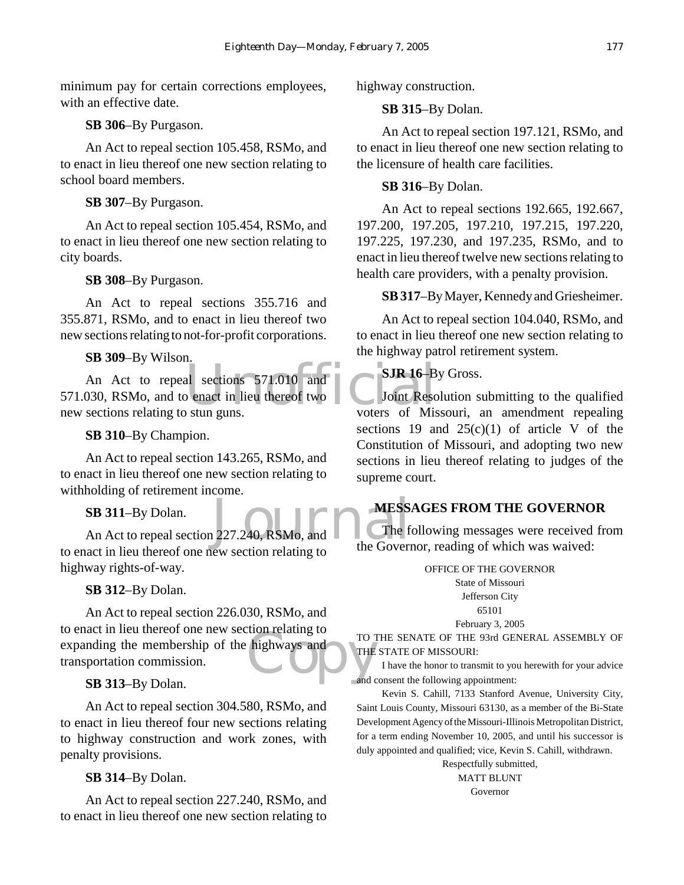minimum pay for certain corrections employees, with an effective date.

**SB 306**–By Purgason.

An Act to repeal section 105.458, RSMo, and to enact in lieu thereof one new section relating to school board members.

**SB 307**–By Purgason.

An Act to repeal section 105.454, RSMo, and to enact in lieu thereof one new section relating to city boards.

**SB 308**–By Purgason.

An Act to repeal sections 355.716 and 355.871, RSMo, and to enact in lieu thereof two new sections relating to not-for-profit corporations.

**SB 309**–By Wilson.

SJR 16-B<br>
al sections 571.010 and<br>
b enact in lieu thereof two<br>
b stun guns.<br>
voters of Mis An Act to repeal sections 571.010 and 571.030, RSMo, and to enact in lieu thereof two new sections relating to stun guns.

**SB 310**–By Champion.

An Act to repeal section 143.265, RSMo, and to enact in lieu thereof one new section relating to withholding of retirement income.

**SB 311**–By Dolan.

SB 311-By Dolan.<br>An Act to repeal section 227.240, RSMo, and<br>and in line thereof and accuracy in white the Govern to enact in lieu thereof one new section relating to highway rights-of-way.

**SB 312**–By Dolan.

TO TO THE MISSION CONTRACTOR THE An Act to repeal section 226.030, RSMo, and to enact in lieu thereof one new section relating to expanding the membership of the highways and transportation commission.

**SB 313**–By Dolan.

An Act to repeal section 304.580, RSMo, and to enact in lieu thereof four new sections relating to highway construction and work zones, with penalty provisions.

**SB 314**–By Dolan.

An Act to repeal section 227.240, RSMo, and to enact in lieu thereof one new section relating to

highway construction.

# **SB 315**–By Dolan.

An Act to repeal section 197.121, RSMo, and to enact in lieu thereof one new section relating to the licensure of health care facilities.

# **SB 316**–By Dolan.

An Act to repeal sections 192.665, 192.667, 197.200, 197.205, 197.210, 197.215, 197.220, 197.225, 197.230, and 197.235, RSMo, and to enact in lieu thereof twelve new sections relating to health care providers, with a penalty provision.

**SB 317**–By Mayer, Kennedy and Griesheimer.

An Act to repeal section 104.040, RSMo, and to enact in lieu thereof one new section relating to the highway patrol retirement system.

# **SJR 16**–By Gross.

Joint Resolution submitting to the qualified voters of Missouri, an amendment repealing sections 19 and  $25(c)(1)$  of article V of the Constitution of Missouri, and adopting two new sections in lieu thereof relating to judges of the supreme court.

# **MESSAGES FROM THE GOVERNOR**

The following messages were received from the Governor, reading of which was waived:

> OFFICE OF THE GOVERNOR State of Missouri Jefferson City 65101

February 3, 2005

TO THE SENATE OF THE 93rd GENERAL ASSEMBLY OF THE STATE OF MISSOURI:

I have the honor to transmit to you herewith for your advice and consent the following appointment:

Kevin S. Cahill, 7133 Stanford Avenue, University City, Saint Louis County, Missouri 63130, as a member of the Bi-State Development Agency of the Missouri-Illinois Metropolitan District, for a term ending November 10, 2005, and until his successor is duly appointed and qualified; vice, Kevin S. Cahill, withdrawn.

Respectfully submitted,

MATT BLUNT Governor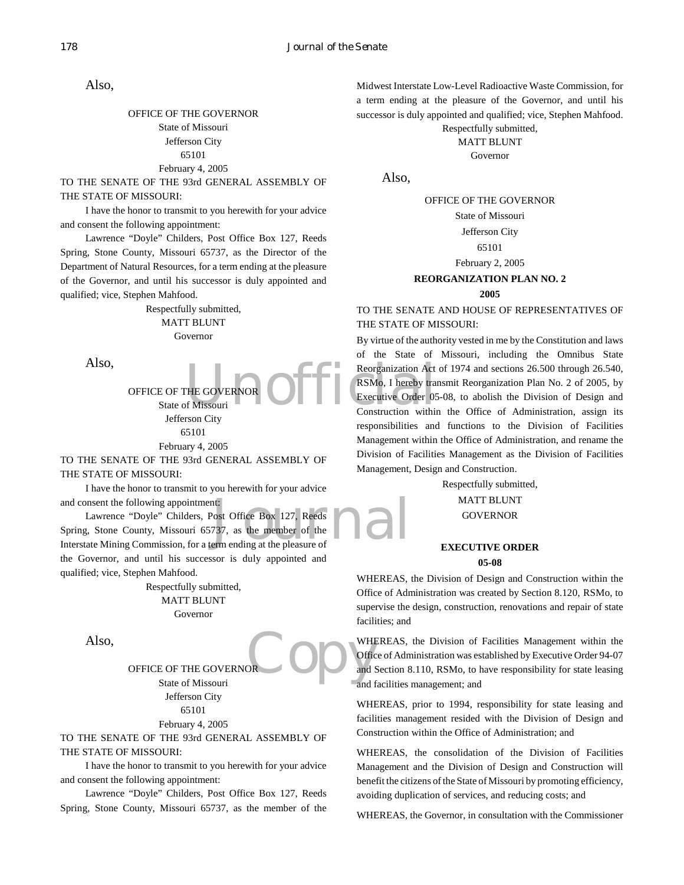Also,

OFFICE OF THE GOVERNOR State of Missouri Jefferson City 65101 February 4, 2005

TO THE SENATE OF THE 93rd GENERAL ASSEMBLY OF THE STATE OF MISSOURI:

I have the honor to transmit to you herewith for your advice and consent the following appointment:

Lawrence "Doyle" Childers, Post Office Box 127, Reeds Spring, Stone County, Missouri 65737, as the Director of the Department of Natural Resources, for a term ending at the pleasure of the Governor, and until his successor is duly appointed and qualified; vice, Stephen Mahfood.

> Respectfully submitted, MATT BLUNT Governor

Also,

OFFICE OF THE GOVERNOR State of Missouri Jefferson City 65101 February 4, 2005

TO THE SENATE OF THE 93rd GENERAL ASSEMBLY OF THE STATE OF MISSOURI:

I have the honor to transmit to you herewith for your advice and consent the following appointment:

nt:<br>
Post Office Box 127, Reeds<br>
737, as the member of the<br>
erm ending at the pleasure of Lawrence "Doyle" Childers, Post Office Box 127, Reeds Spring, Stone County, Missouri 65737, as the member of the Interstate Mining Commission, for a term ending at the pleasure of the Governor, and until his successor is duly appointed and qualified; vice, Stephen Mahfood.

> Respectfully submitted, MATT BLUNT Governor

Also,

OFFICE OF THE GOVERNO State of Missouri Jefferson City 65101 February 4, 2005

TO THE SENATE OF THE 93rd GENERAL ASSEMBLY OF THE STATE OF MISSOURI:

I have the honor to transmit to you herewith for your advice and consent the following appointment:

Lawrence "Doyle" Childers, Post Office Box 127, Reeds Spring, Stone County, Missouri 65737, as the member of the Midwest Interstate Low-Level Radioactive Waste Commission, for a term ending at the pleasure of the Governor, and until his successor is duly appointed and qualified; vice, Stephen Mahfood.

Respectfully submitted, MATT BLUNT Governor

Also,

OFFICE OF THE GOVERNOR

State of Missouri Jefferson City 65101

February 2, 2005

### **REORGANIZATION PLAN NO. 2**

**2005**

TO THE SENATE AND HOUSE OF REPRESENTATIVES OF THE STATE OF MISSOURI:

THE GOVERNOR CONTROL RESMo, I hereby transference of Missouri By virtue of the authority vested in me by the Constitution and laws of the State of Missouri, including the Omnibus State Reorganization Act of 1974 and sections 26.500 through 26.540, RSMo, I hereby transmit Reorganization Plan No. 2 of 2005, by Executive Order 05-08, to abolish the Division of Design and Construction within the Office of Administration, assign its responsibilities and functions to the Division of Facilities Management within the Office of Administration, and rename the Division of Facilities Management as the Division of Facilities Management, Design and Construction.

Respectfully submitted,

MATT BLUNT **GOVERNOR** 

#### **EXECUTIVE ORDER 05-08**

WHEREAS, the Division of Design and Construction within the Office of Administration was created by Section 8.120, RSMo, to supervise the design, construction, renovations and repair of state facilities; and

OR OF OTHER WHEREAS, the Division of Facilities Management within the Office of Administration was established by Executive Order 94-07 and Section 8.110, RSMo, to have responsibility for state leasing and facilities management; and

> WHEREAS, prior to 1994, responsibility for state leasing and facilities management resided with the Division of Design and Construction within the Office of Administration; and

> WHEREAS, the consolidation of the Division of Facilities Management and the Division of Design and Construction will benefit the citizens of the State of Missouri by promoting efficiency, avoiding duplication of services, and reducing costs; and

> WHEREAS, the Governor, in consultation with the Commissioner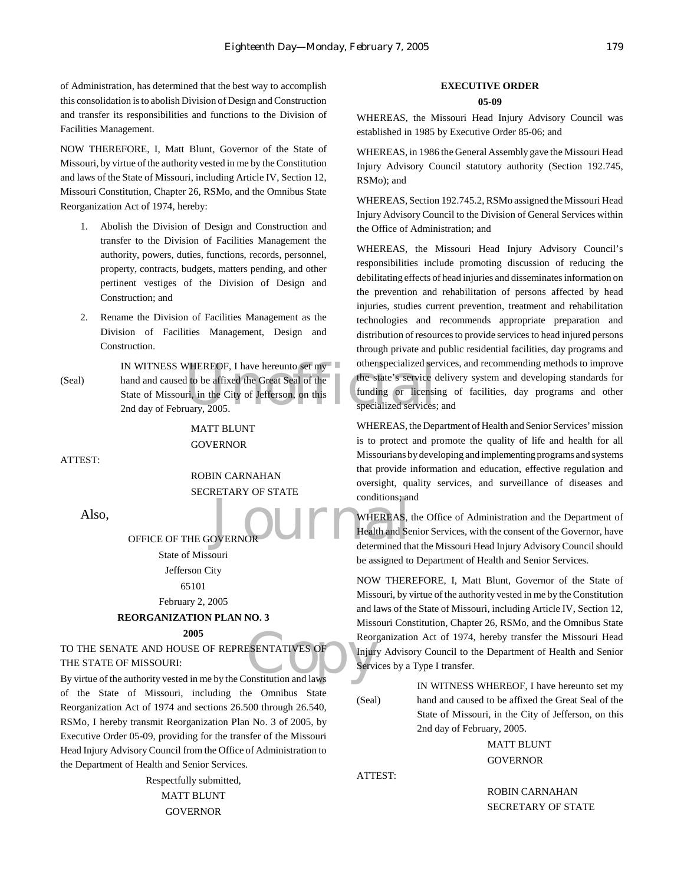of Administration, has determined that the best way to accomplish this consolidation is to abolish Division of Design and Construction and transfer its responsibilities and functions to the Division of Facilities Management.

NOW THEREFORE, I, Matt Blunt, Governor of the State of Missouri, by virtue of the authority vested in me by the Constitution and laws of the State of Missouri, including Article IV, Section 12, Missouri Constitution, Chapter 26, RSMo, and the Omnibus State Reorganization Act of 1974, hereby:

- 1. Abolish the Division of Design and Construction and transfer to the Division of Facilities Management the authority, powers, duties, functions, records, personnel, property, contracts, budgets, matters pending, and other pertinent vestiges of the Division of Design and Construction; and
- 2. Rename the Division of Facilities Management as the Division of Facilities Management, Design and Construction.

IN WITNESS WHEREOF, I have hereunto set my<br>
hand and caused to be affixed the Great Seal of the tate's service of<br>
State of Missouri, in the City of Jefferson, on this<br>
2nd day of February, 2005. (Seal) hand and caused to be affixed the Great Seal of the State of Missouri, in the City of Jefferson, on this 2nd day of February, 2005.

#### MATT BLUNT GOVERNOR

ATTEST:

ROBIN CARNAHAN SECRETARY OF STATE

Also,

OFFICE OF THE GOVERNOR State of Missouri Jefferson City 65101 February 2, 2005

#### **REORGANIZATION PLAN NO. 3**

**2005**

# ESENTATIVES OF Injure TO THE SENATE AND HOUSE OF REPRESENTATIVES OF THE STATE OF MISSOURI:

By virtue of the authority vested in me by the Constitution and laws of the State of Missouri, including the Omnibus State Reorganization Act of 1974 and sections 26.500 through 26.540, RSMo, I hereby transmit Reorganization Plan No. 3 of 2005, by Executive Order 05-09, providing for the transfer of the Missouri Head Injury Advisory Council from the Office of Administration to the Department of Health and Senior Services.

> Respectfully submitted, MATT BLUNT GOVERNOR

### **EXECUTIVE ORDER**

#### **05-09**

WHEREAS, the Missouri Head Injury Advisory Council was established in 1985 by Executive Order 85-06; and

WHEREAS, in 1986 the General Assembly gave the Missouri Head Injury Advisory Council statutory authority (Section 192.745, RSMo); and

WHEREAS, Section 192.745.2, RSMo assigned the Missouri Head Injury Advisory Council to the Division of General Services within the Office of Administration; and

WHEREAS, the Missouri Head Injury Advisory Council's responsibilities include promoting discussion of reducing the debilitating effects of head injuries and disseminates information on the prevention and rehabilitation of persons affected by head injuries, studies current prevention, treatment and rehabilitation technologies and recommends appropriate preparation and distribution of resources to provide services to head injured persons through private and public residential facilities, day programs and other specialized services, and recommending methods to improve the state's service delivery system and developing standards for funding or licensing of facilities, day programs and other specialized services; and

WHEREAS, the Department of Health and Senior Services' mission is to protect and promote the quality of life and health for all Missourians by developing and implementing programs and systems that provide information and education, effective regulation and oversight, quality services, and surveillance of diseases and conditions; and

conditions; and<br>DVERNORE DELAND MEREAS, WHEREAS, the Office of Administration and the Department of Health and Senior Services, with the consent of the Governor, have determined that the Missouri Head Injury Advisory Council should be assigned to Department of Health and Senior Services.

> NOW THEREFORE, I, Matt Blunt, Governor of the State of Missouri, by virtue of the authority vested in me by the Constitution and laws of the State of Missouri, including Article IV, Section 12, Missouri Constitution, Chapter 26, RSMo, and the Omnibus State Reorganization Act of 1974, hereby transfer the Missouri Head Injury Advisory Council to the Department of Health and Senior Services by a Type I transfer.

IN WITNESS WHEREOF, I have hereunto set my (Seal) hand and caused to be affixed the Great Seal of the State of Missouri, in the City of Jefferson, on this 2nd day of February, 2005.

> MATT BLUNT GOVERNOR

ATTEST:

ROBIN CARNAHAN SECRETARY OF STATE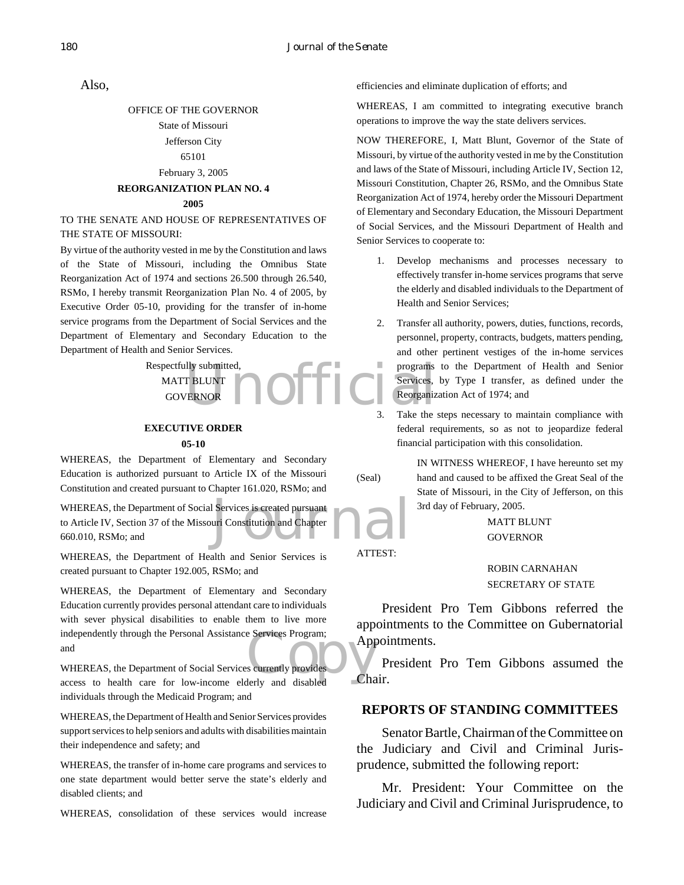Also,

### OFFICE OF THE GOVERNOR State of Missouri Jefferson City 65101

#### February 3, 2005

#### **REORGANIZATION PLAN NO. 4**

#### **2005**

#### TO THE SENATE AND HOUSE OF REPRESENTATIVES OF THE STATE OF MISSOURI:

By virtue of the authority vested in me by the Constitution and laws of the State of Missouri, including the Omnibus State Reorganization Act of 1974 and sections 26.500 through 26.540, RSMo, I hereby transmit Reorganization Plan No. 4 of 2005, by Executive Order 05-10, providing for the transfer of in-home service programs from the Department of Social Services and the Department of Elementary and Secondary Education to the Department of Health and Senior Services.

> Respectfully submitted, MATT BLUNT GOVERNOR

# **EXECUTIVE ORDER**

#### **05-10**

WHEREAS, the Department of Elementary and Secondary Education is authorized pursuant to Article IX of the Missouri Constitution and created pursuant to Chapter 161.020, RSMo; and

Services is created pursuant<br>uri Constitution and Chapter WHEREAS, the Department of Social Services is created pursuant to Article IV, Section 37 of the Missouri Constitution and Chapter 660.010, RSMo; and

WHEREAS, the Department of Health and Senior Services is created pursuant to Chapter 192.005, RSMo; and

Exervices Program;<br>
Securrently provides<br>
Herly and disabled Cha WHEREAS, the Department of Elementary and Secondary Education currently provides personal attendant care to individuals with sever physical disabilities to enable them to live more independently through the Personal Assistance Services Program; and

WHEREAS, the Department of Social Services currently provides access to health care for low-income elderly and disabled individuals through the Medicaid Program; and

WHEREAS, the Department of Health and Senior Services provides support services to help seniors and adults with disabilities maintain their independence and safety; and

WHEREAS, the transfer of in-home care programs and services to one state department would better serve the state's elderly and disabled clients; and

WHEREAS, consolidation of these services would increase

efficiencies and eliminate duplication of efforts; and

WHEREAS, I am committed to integrating executive branch operations to improve the way the state delivers services.

NOW THEREFORE, I, Matt Blunt, Governor of the State of Missouri, by virtue of the authority vested in me by the Constitution and laws of the State of Missouri, including Article IV, Section 12, Missouri Constitution, Chapter 26, RSMo, and the Omnibus State Reorganization Act of 1974, hereby order the Missouri Department of Elementary and Secondary Education, the Missouri Department of Social Services, and the Missouri Department of Health and Senior Services to cooperate to:

- 1. Develop mechanisms and processes necessary to effectively transfer in-home services programs that serve the elderly and disabled individuals to the Department of Health and Senior Services;
- Hy submitted,<br>
T BLUNT<br>
TERNOR **DESCREED Services**,<br>
Take the 2. Transfer all authority, powers, duties, functions, records, personnel, property, contracts, budgets, matters pending, and other pertinent vestiges of the in-home services programs to the Department of Health and Senior Services, by Type I transfer, as defined under the Reorganization Act of 1974; and
	- 3. Take the steps necessary to maintain compliance with federal requirements, so as not to jeopardize federal financial participation with this consolidation.

IN WITNESS WHEREOF, I have hereunto set my (Seal) hand and caused to be affixed the Great Seal of the State of Missouri, in the City of Jefferson, on this 3rd day of February, 2005.

> MATT BLUNT GOVERNOR

ATTEST:

ROBIN CARNAHAN SECRETARY OF STATE

President Pro Tem Gibbons referred the appointments to the Committee on Gubernatorial Appointments.

President Pro Tem Gibbons assumed the Chair.

#### **REPORTS OF STANDING COMMITTEES**

Senator Bartle, Chairman of the Committee on the Judiciary and Civil and Criminal Jurisprudence, submitted the following report:

Mr. President: Your Committee on the Judiciary and Civil and Criminal Jurisprudence, to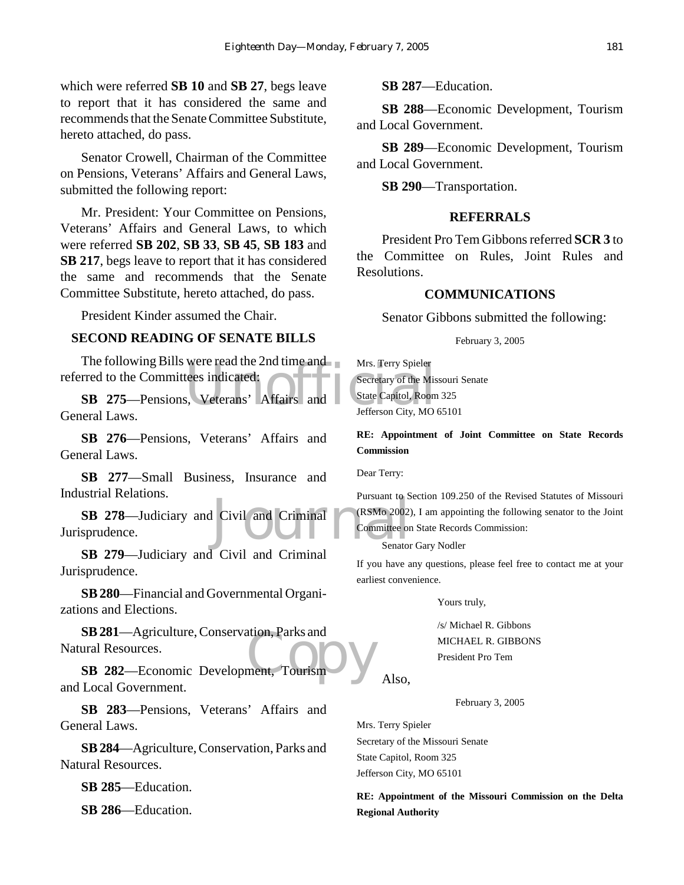which were referred **SB 10** and **SB 27**, begs leave to report that it has considered the same and recommends that the Senate Committee Substitute, hereto attached, do pass.

Senator Crowell, Chairman of the Committee on Pensions, Veterans' Affairs and General Laws, submitted the following report:

Mr. President: Your Committee on Pensions, Veterans' Affairs and General Laws, to which were referred **SB 202**, **SB 33**, **SB 45**, **SB 183** and **SB 217**, begs leave to report that it has considered the same and recommends that the Senate Committee Substitute, hereto attached, do pass.

President Kinder assumed the Chair.

# **SECOND READING OF SENATE BILLS**

The following Bills were read the 2nd time and referred to the Committees indicated:

**SB 275**—Pensions, Veterans' Affairs and General Laws.

**SB 276**—Pensions, Veterans' Affairs and General Laws.

**SB 277**—Small Business, Insurance and Industrial Relations.

Pursuant to S<br>Civil and Criminal<br>Committee on<br>Senator **SB 278**—Judiciary and Civil and Criminal Jurisprudence.

**SB 279**—Judiciary and Civil and Criminal Jurisprudence.

**SB 280**—Financial and Governmental Organizations and Elections.

SB 281—Agriculture, Conservation, Parks and<br>
ural Resources.<br>
SB 282—Economic Development, Tourism **SB 281**—Agriculture, Conservation, Parks and Natural Resources.

and Local Government.

**SB 283**—Pensions, Veterans' Affairs and General Laws.

**SB 284**—Agriculture, Conservation, Parks and Natural Resources.

**SB 285**—Education.

**SB 286**—Education.

**SB 287**—Education.

**SB 288**—Economic Development, Tourism and Local Government.

**SB 289**—Economic Development, Tourism and Local Government.

**SB 290**—Transportation.

#### **REFERRALS**

President Pro Tem Gibbons referred **SCR 3** to the Committee on Rules, Joint Rules and Resolutions.

### **COMMUNICATIONS**

Senator Gibbons submitted the following:

February 3, 2005

Wrs. Terry Spieler<br>
tees indicated:<br>
Secretary of the Mis<br>
State Capitol, Room<br>
Jefferson City, MO Mrs. Terry Spieler Secretary of the Missouri Senate State Capitol, Room 325 Jefferson City, MO 65101

#### **RE: Appointment of Joint Committee on State Records Commission**

Dear Terry:

Pursuant to Section 109.250 of the Revised Statutes of Missouri (RSMo 2002), I am appointing the following senator to the Joint Committee on State Records Commission:

Senator Gary Nodler

If you have any questions, please feel free to contact me at your earliest convenience.

Yours truly,

/s/ Michael R. Gibbons MICHAEL R. GIBBONS President Pro Tem

Also,

February 3, 2005

Mrs. Terry Spieler Secretary of the Missouri Senate State Capitol, Room 325 Jefferson City, MO 65101

**RE: Appointment of the Missouri Commission on the Delta Regional Authority**